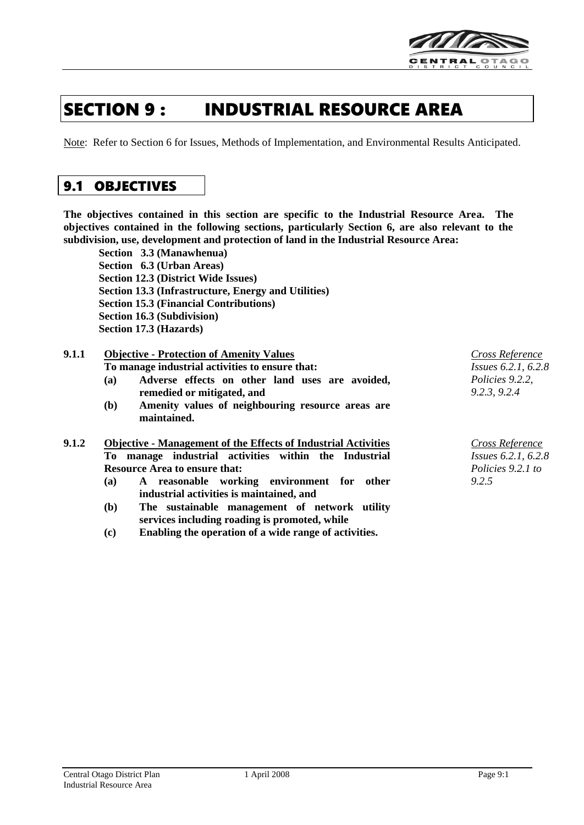

# SECTION 9 : INDUSTRIAL RESOURCE AREA

Note: Refer to Section 6 for Issues, Methods of Implementation, and Environmental Results Anticipated.

# 9.1 OBJECTIVES

**The objectives contained in this section are specific to the Industrial Resource Area. The objectives contained in the following sections, particularly Section 6, are also relevant to the subdivision, use, development and protection of land in the Industrial Resource Area:**

**Section 3.3 (Manawhenua) Section 6.3 (Urban Areas) Section 12.3 (District Wide Issues) Section 13.3 (Infrastructure, Energy and Utilities) Section 15.3 (Financial Contributions) Section 16.3 (Subdivision) Section 17.3 (Hazards)**

### **9.1.1 Objective - Protection of Amenity Values**

**To manage industrial activities to ensure that:**

- **(a) Adverse effects on other land uses are avoided, remedied or mitigated, and**
- **(b) Amenity values of neighbouring resource areas are maintained.**

| <b>Resource Area to ensure that:</b> |  |  |  |  |  |                                                                                                                                |
|--------------------------------------|--|--|--|--|--|--------------------------------------------------------------------------------------------------------------------------------|
|                                      |  |  |  |  |  | <b>Objective - Management of the Effects of Industrial Activities</b><br>To manage industrial activities within the Industrial |

- **(a) A reasonable working environment for other industrial activities is maintained, and**
- **(b) The sustainable management of network utility services including roading is promoted, while**
- **(c) Enabling the operation of a wide range of activities.**

*Cross Reference Issues 6.2.1, 6.2.8 Policies 9.2.2, 9.2.3, 9.2.4*

*Cross Reference Issues 6.2.1, 6.2.8 Policies 9.2.1 to 9.2.5*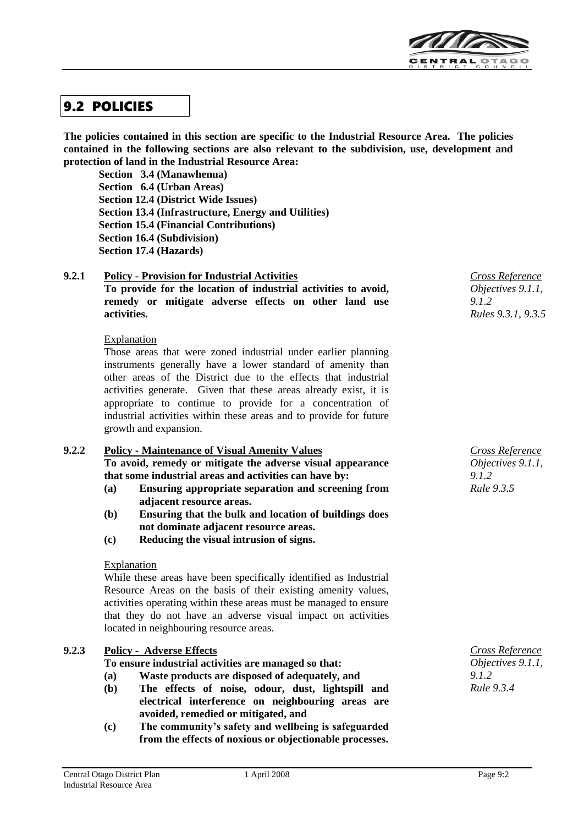

# 9.2 POLICIES

**The policies contained in this section are specific to the Industrial Resource Area. The policies contained in the following sections are also relevant to the subdivision, use, development and protection of land in the Industrial Resource Area:**

**Section 3.4 (Manawhenua) Section 6.4 (Urban Areas) Section 12.4 (District Wide Issues) Section 13.4 (Infrastructure, Energy and Utilities) Section 15.4 (Financial Contributions) Section 16.4 (Subdivision) Section 17.4 (Hazards)**

**9.2.1 Policy - Provision for Industrial Activities To provide for the location of industrial activities to avoid, remedy or mitigate adverse effects on other land use activities.** *Cross Reference Objectives 9.1.1, 9.1.2 Rules 9.3.1, 9.3.5*

### Explanation

Those areas that were zoned industrial under earlier planning instruments generally have a lower standard of amenity than other areas of the District due to the effects that industrial activities generate. Given that these areas already exist, it is appropriate to continue to provide for a concentration of industrial activities within these areas and to provide for future growth and expansion.

### **9.2.2 Policy - Maintenance of Visual Amenity Values**

**To avoid, remedy or mitigate the adverse visual appearance that some industrial areas and activities can have by:**

- **(a) Ensuring appropriate separation and screening from adjacent resource areas.**
- **(b) Ensuring that the bulk and location of buildings does not dominate adjacent resource areas.**
- **(c) Reducing the visual intrusion of signs.**

### Explanation

While these areas have been specifically identified as Industrial Resource Areas on the basis of their existing amenity values, activities operating within these areas must be managed to ensure that they do not have an adverse visual impact on activities located in neighbouring resource areas.

### **9.2.3 Policy - Adverse Effects**

**To ensure industrial activities are managed so that:**

- **(a) Waste products are disposed of adequately, and**
- **(b) The effects of noise, odour, dust, lightspill and electrical interference on neighbouring areas are avoided, remedied or mitigated, and**
- **(c) The community's safety and wellbeing is safeguarded from the effects of noxious or objectionable processes.**

*Cross Reference Objectives 9.1.1, 9.1.2 Rule 9.3.5*

*Cross Reference Objectives 9.1.1, 9.1.2 Rule 9.3.4*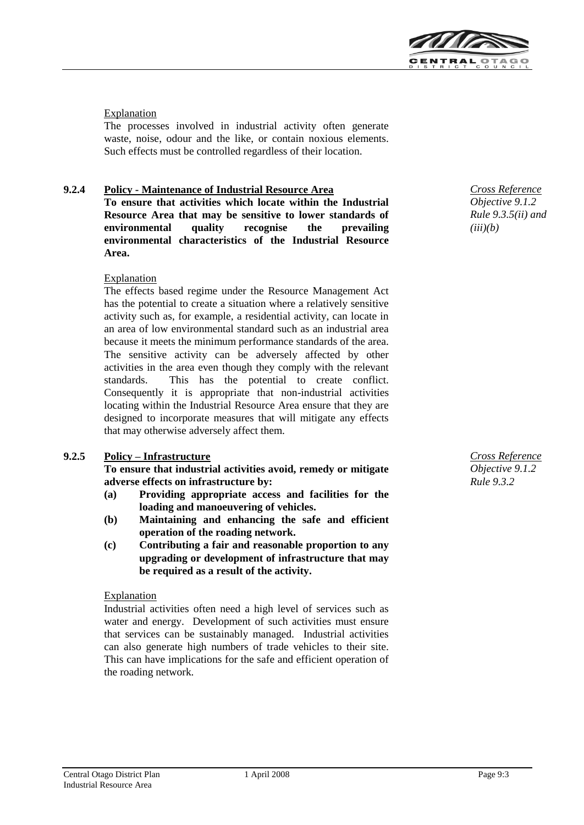

### Explanation

The processes involved in industrial activity often generate waste, noise, odour and the like, or contain noxious elements. Such effects must be controlled regardless of their location.

### **9.2.4 Policy - Maintenance of Industrial Resource Area**

**To ensure that activities which locate within the Industrial Resource Area that may be sensitive to lower standards of environmental quality recognise the prevailing environmental characteristics of the Industrial Resource Area.**

### Explanation

The effects based regime under the Resource Management Act has the potential to create a situation where a relatively sensitive activity such as, for example, a residential activity, can locate in an area of low environmental standard such as an industrial area because it meets the minimum performance standards of the area. The sensitive activity can be adversely affected by other activities in the area even though they comply with the relevant standards. This has the potential to create conflict. Consequently it is appropriate that non-industrial activities locating within the Industrial Resource Area ensure that they are designed to incorporate measures that will mitigate any effects that may otherwise adversely affect them.

### **9.2.5 Policy – Infrastructure**

**To ensure that industrial activities avoid, remedy or mitigate adverse effects on infrastructure by:**

- **(a) Providing appropriate access and facilities for the loading and manoeuvering of vehicles.**
- **(b) Maintaining and enhancing the safe and efficient operation of the roading network.**
- **(c) Contributing a fair and reasonable proportion to any upgrading or development of infrastructure that may be required as a result of the activity.**

### Explanation

Industrial activities often need a high level of services such as water and energy. Development of such activities must ensure that services can be sustainably managed. Industrial activities can also generate high numbers of trade vehicles to their site. This can have implications for the safe and efficient operation of the roading network.

*Cross Reference Objective 9.1.2 Rule 9.3.5(ii) and (iii)(b)*

*Cross Reference Objective 9.1.2 Rule 9.3.2*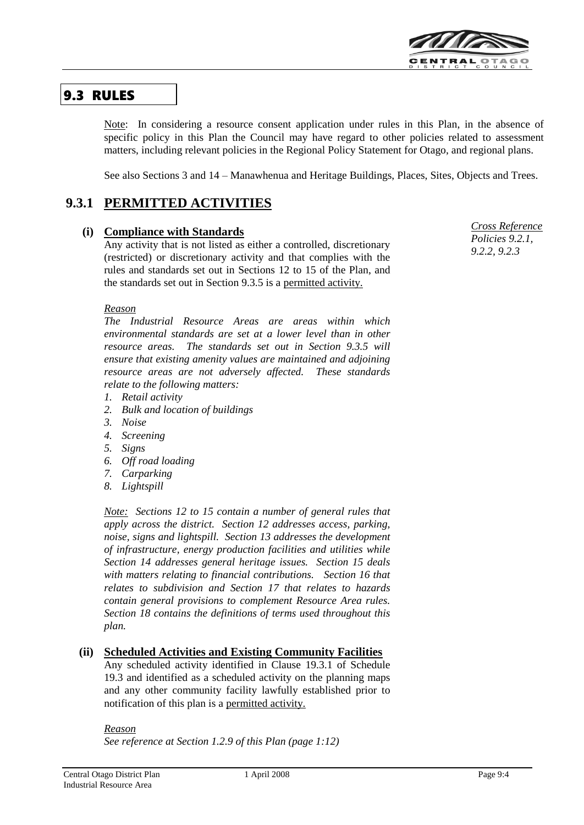

# 9.3 RULES

Note: In considering a resource consent application under rules in this Plan, in the absence of specific policy in this Plan the Council may have regard to other policies related to assessment matters, including relevant policies in the Regional Policy Statement for Otago, and regional plans.

See also Sections 3 and 14 – Manawhenua and Heritage Buildings, Places, Sites, Objects and Trees.

# **9.3.1 PERMITTED ACTIVITIES**

### **(i) Compliance with Standards**

Any activity that is not listed as either a controlled, discretionary (restricted) or discretionary activity and that complies with the rules and standards set out in Sections 12 to 15 of the Plan, and the standards set out in Section 9.3.5 is a permitted activity.

### *Reason*

*The Industrial Resource Areas are areas within which environmental standards are set at a lower level than in other resource areas. The standards set out in Section 9.3.5 will ensure that existing amenity values are maintained and adjoining resource areas are not adversely affected. These standards relate to the following matters:*

- *1. Retail activity*
- *2. Bulk and location of buildings*
- *3. Noise*
- *4. Screening*
- *5. Signs*
- *6. Off road loading*
- *7. Carparking*
- *8. Lightspill*

*Note: Sections 12 to 15 contain a number of general rules that apply across the district. Section 12 addresses access, parking, noise, signs and lightspill. Section 13 addresses the development of infrastructure, energy production facilities and utilities while Section 14 addresses general heritage issues. Section 15 deals with matters relating to financial contributions. Section 16 that relates to subdivision and Section 17 that relates to hazards contain general provisions to complement Resource Area rules. Section 18 contains the definitions of terms used throughout this plan.*

### **(ii) Scheduled Activities and Existing Community Facilities**

Any scheduled activity identified in Clause 19.3.1 of Schedule 19.3 and identified as a scheduled activity on the planning maps and any other community facility lawfully established prior to notification of this plan is a permitted activity.

### *Reason*

*See reference at Section 1.2.9 of this Plan (page 1:12)*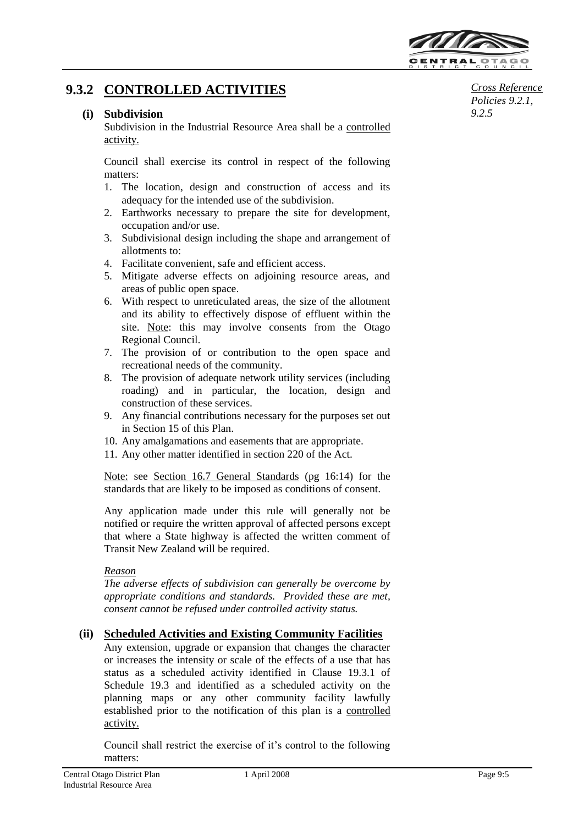

# **9.3.2 CONTROLLED ACTIVITIES**

### **(i) Subdivision**

Subdivision in the Industrial Resource Area shall be a controlled activity.

Council shall exercise its control in respect of the following matters:

- 1. The location, design and construction of access and its adequacy for the intended use of the subdivision.
- 2. Earthworks necessary to prepare the site for development, occupation and/or use.
- 3. Subdivisional design including the shape and arrangement of allotments to:
- 4. Facilitate convenient, safe and efficient access.
- 5. Mitigate adverse effects on adjoining resource areas, and areas of public open space.
- 6. With respect to unreticulated areas, the size of the allotment and its ability to effectively dispose of effluent within the site. Note: this may involve consents from the Otago Regional Council.
- 7. The provision of or contribution to the open space and recreational needs of the community.
- 8. The provision of adequate network utility services (including roading) and in particular, the location, design and construction of these services.
- 9. Any financial contributions necessary for the purposes set out in Section 15 of this Plan.
- 10. Any amalgamations and easements that are appropriate.
- 11. Any other matter identified in section 220 of the Act.

Note: see Section 16.7 General Standards (pg 16:14) for the standards that are likely to be imposed as conditions of consent.

Any application made under this rule will generally not be notified or require the written approval of affected persons except that where a State highway is affected the written comment of Transit New Zealand will be required.

### *Reason*

*The adverse effects of subdivision can generally be overcome by appropriate conditions and standards. Provided these are met, consent cannot be refused under controlled activity status.*

### **(ii) Scheduled Activities and Existing Community Facilities**

Any extension, upgrade or expansion that changes the character or increases the intensity or scale of the effects of a use that has status as a scheduled activity identified in Clause 19.3.1 of Schedule 19.3 and identified as a scheduled activity on the planning maps or any other community facility lawfully established prior to the notification of this plan is a controlled activity.

Council shall restrict the exercise of it's control to the following matters:

*Cross Reference Policies 9.2.1, 9.2.5*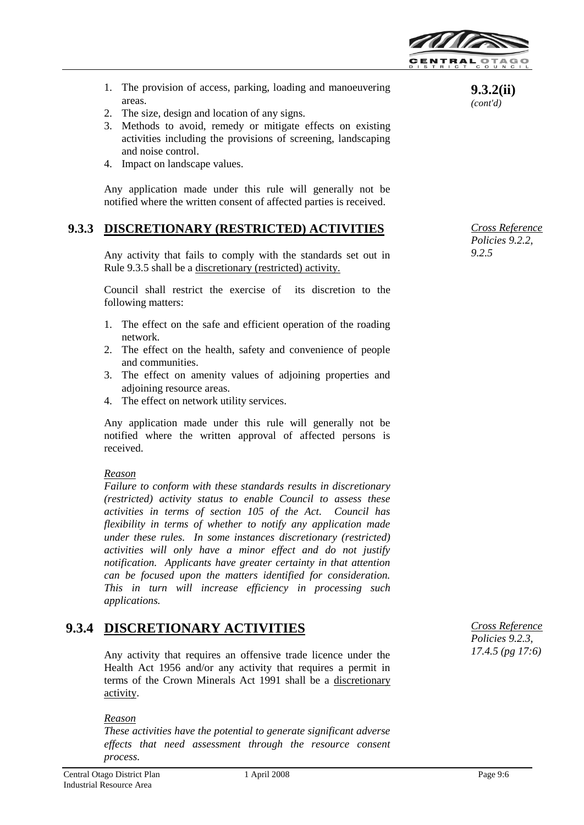

- 1. The provision of access, parking, loading and manoeuvering areas.
- 2. The size, design and location of any signs.
- 3. Methods to avoid, remedy or mitigate effects on existing activities including the provisions of screening, landscaping and noise control.
- 4. Impact on landscape values.

Any application made under this rule will generally not be notified where the written consent of affected parties is received.

### **9.3.3 DISCRETIONARY (RESTRICTED) ACTIVITIES**

Any activity that fails to comply with the standards set out in Rule 9.3.5 shall be a discretionary (restricted) activity.

Council shall restrict the exercise of its discretion to the following matters:

- 1. The effect on the safe and efficient operation of the roading network.
- 2. The effect on the health, safety and convenience of people and communities.
- 3. The effect on amenity values of adjoining properties and adjoining resource areas.
- 4. The effect on network utility services.

Any application made under this rule will generally not be notified where the written approval of affected persons is received.

### *Reason*

*Failure to conform with these standards results in discretionary (restricted) activity status to enable Council to assess these activities in terms of section 105 of the Act. Council has flexibility in terms of whether to notify any application made under these rules. In some instances discretionary (restricted) activities will only have a minor effect and do not justify notification. Applicants have greater certainty in that attention can be focused upon the matters identified for consideration. This in turn will increase efficiency in processing such applications.*

# **9.3.4 DISCRETIONARY ACTIVITIES**

Any activity that requires an offensive trade licence under the Health Act 1956 and/or any activity that requires a permit in terms of the Crown Minerals Act 1991 shall be a discretionary activity.

#### *Reason*

*These activities have the potential to generate significant adverse effects that need assessment through the resource consent process.*

**9.3.2(ii)**  *(cont'd)*

*Cross Reference Policies 9.2.2, 9.2.5*

*Cross Reference Policies 9.2.3, 17.4.5 (pg 17:6)*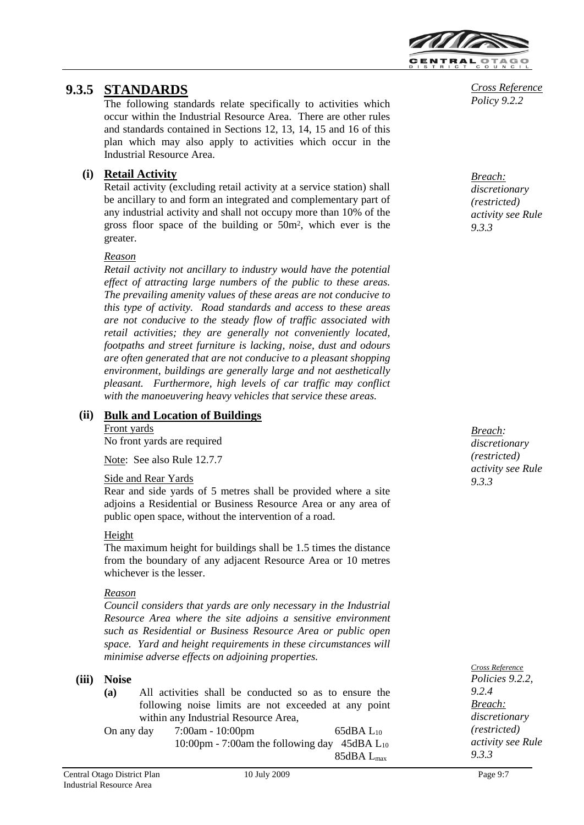

# **9.3.5 STANDARDS**

The following standards relate specifically to activities which occur within the Industrial Resource Area. There are other rules and standards contained in Sections 12, 13, 14, 15 and 16 of this plan which may also apply to activities which occur in the Industrial Resource Area.

## **(i) Retail Activity**

Retail activity (excluding retail activity at a service station) shall be ancillary to and form an integrated and complementary part of any industrial activity and shall not occupy more than 10% of the gross floor space of the building or 50m<sup>2</sup> , which ever is the greater.

### *Reason*

*Retail activity not ancillary to industry would have the potential effect of attracting large numbers of the public to these areas. The prevailing amenity values of these areas are not conducive to this type of activity. Road standards and access to these areas are not conducive to the steady flow of traffic associated with retail activities; they are generally not conveniently located, footpaths and street furniture is lacking, noise, dust and odours are often generated that are not conducive to a pleasant shopping environment, buildings are generally large and not aesthetically pleasant. Furthermore, high levels of car traffic may conflict with the manoeuvering heavy vehicles that service these areas.*

# **(ii) Bulk and Location of Buildings**

Front yards No front yards are required

Note: See also Rule 12.7.7

### Side and Rear Yards

Rear and side yards of 5 metres shall be provided where a site adjoins a Residential or Business Resource Area or any area of public open space, without the intervention of a road.

### Height

The maximum height for buildings shall be 1.5 times the distance from the boundary of any adjacent Resource Area or 10 metres whichever is the lesser.

### *Reason*

*Council considers that yards are only necessary in the Industrial Resource Area where the site adjoins a sensitive environment such as Residential or Business Resource Area or public open space. Yard and height requirements in these circumstances will minimise adverse effects on adjoining properties.*

### **(iii) Noise**

- **(a)** All activities shall be conducted so as to ensure the following noise limits are not exceeded at any point within any Industrial Resource Area,
- On any day 7:00am 10:00pm 65dBA L<sub>10</sub> 10:00pm - 7:00am the following day 45dBA L<sup>10</sup> 85dBA Lmax

*Breach: discretionary (restricted) activity see Rule 9.3.3*

*Cross Reference Policies 9.2.2, 9.2.4 Breach: discretionary (restricted) activity see Rule 9.3.3*

*Cross Reference Policy 9.2.2*

#### *Breach: discretionary (restricted) activity see Rule 9.3.3*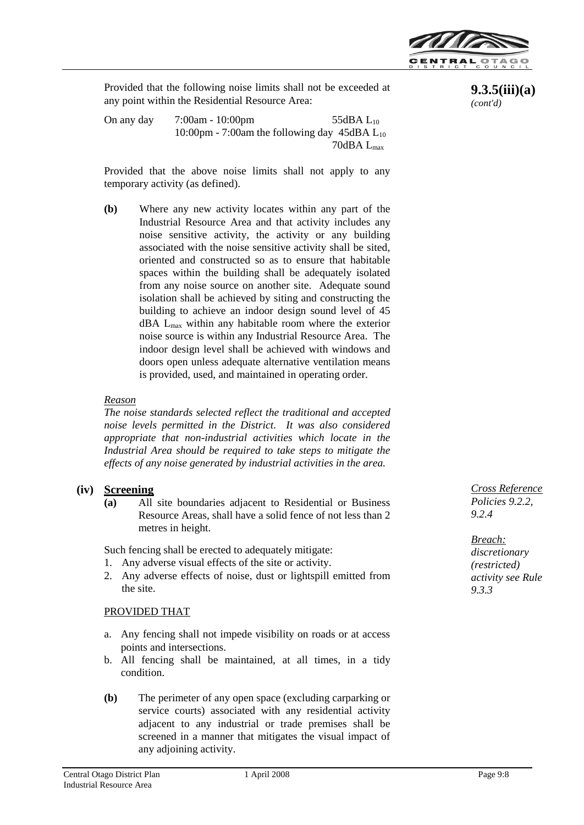

Provided that the following noise limits shall not be exceeded at any point within the Residential Resource Area:

On any day  $7:00$ am - 10:00pm 55dBA L<sub>10</sub> 10:00pm - 7:00am the following day  $45\text{dBA}$  L<sub>10</sub> 70dBA Lmax

Provided that the above noise limits shall not apply to any temporary activity (as defined).

**(b)** Where any new activity locates within any part of the Industrial Resource Area and that activity includes any noise sensitive activity, the activity or any building associated with the noise sensitive activity shall be sited, oriented and constructed so as to ensure that habitable spaces within the building shall be adequately isolated from any noise source on another site. Adequate sound isolation shall be achieved by siting and constructing the building to achieve an indoor design sound level of 45 dBA Lmax within any habitable room where the exterior noise source is within any Industrial Resource Area. The indoor design level shall be achieved with windows and doors open unless adequate alternative ventilation means is provided, used, and maintained in operating order.

### *Reason*

*The noise standards selected reflect the traditional and accepted noise levels permitted in the District. It was also considered appropriate that non-industrial activities which locate in the Industrial Area should be required to take steps to mitigate the effects of any noise generated by industrial activities in the area.* 

### **(iv) Screening**

**(a)** All site boundaries adjacent to Residential or Business Resource Areas, shall have a solid fence of not less than 2 metres in height.

Such fencing shall be erected to adequately mitigate:

- 1. Any adverse visual effects of the site or activity.
- 2. Any adverse effects of noise, dust or lightspill emitted from the site.

### PROVIDED THAT

- a. Any fencing shall not impede visibility on roads or at access points and intersections.
- b. All fencing shall be maintained, at all times, in a tidy condition.
- **(b)** The perimeter of any open space (excluding carparking or service courts) associated with any residential activity adjacent to any industrial or trade premises shall be screened in a manner that mitigates the visual impact of any adjoining activity.

**9.3.5(iii)(a)** *(cont'd)*

*Cross Reference Policies 9.2.2, 9.2.4*

*Breach: discretionary (restricted) activity see Rule 9.3.3*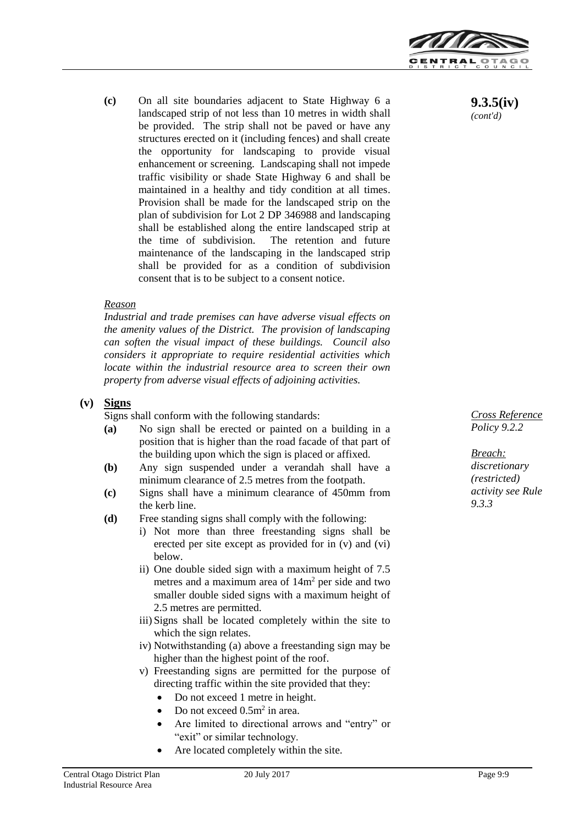

**(c)** On all site boundaries adjacent to State Highway 6 a landscaped strip of not less than 10 metres in width shall be provided. The strip shall not be paved or have any structures erected on it (including fences) and shall create the opportunity for landscaping to provide visual enhancement or screening. Landscaping shall not impede traffic visibility or shade State Highway 6 and shall be maintained in a healthy and tidy condition at all times. Provision shall be made for the landscaped strip on the plan of subdivision for Lot 2 DP 346988 and landscaping shall be established along the entire landscaped strip at the time of subdivision. The retention and future maintenance of the landscaping in the landscaped strip shall be provided for as a condition of subdivision consent that is to be subject to a consent notice.

### *Reason*

*Industrial and trade premises can have adverse visual effects on the amenity values of the District. The provision of landscaping can soften the visual impact of these buildings. Council also considers it appropriate to require residential activities which locate within the industrial resource area to screen their own property from adverse visual effects of adjoining activities.*

### **(v) Signs**

Signs shall conform with the following standards:

- **(a)** No sign shall be erected or painted on a building in a position that is higher than the road facade of that part of the building upon which the sign is placed or affixed.
- **(b)** Any sign suspended under a verandah shall have a minimum clearance of 2.5 metres from the footpath.
- **(c)** Signs shall have a minimum clearance of 450mm from the kerb line.
- **(d)** Free standing signs shall comply with the following:
	- i) Not more than three freestanding signs shall be erected per site except as provided for in (v) and (vi) below.
	- ii) One double sided sign with a maximum height of 7.5 metres and a maximum area of  $14m<sup>2</sup>$  per side and two smaller double sided signs with a maximum height of 2.5 metres are permitted.
	- iii) Signs shall be located completely within the site to which the sign relates.
	- iv) Notwithstanding (a) above a freestanding sign may be higher than the highest point of the roof.
	- v) Freestanding signs are permitted for the purpose of directing traffic within the site provided that they:
		- Do not exceed 1 metre in height.
		- Do not exceed  $0.5m^2$  in area.
		- Are limited to directional arrows and "entry" or "exit" or similar technology.
		- Are located completely within the site.

**9.3.5(iv)**  *(cont'd)*

*Cross Reference Policy 9.2.2*

*Breach: discretionary (restricted) activity see Rule 9.3.3*